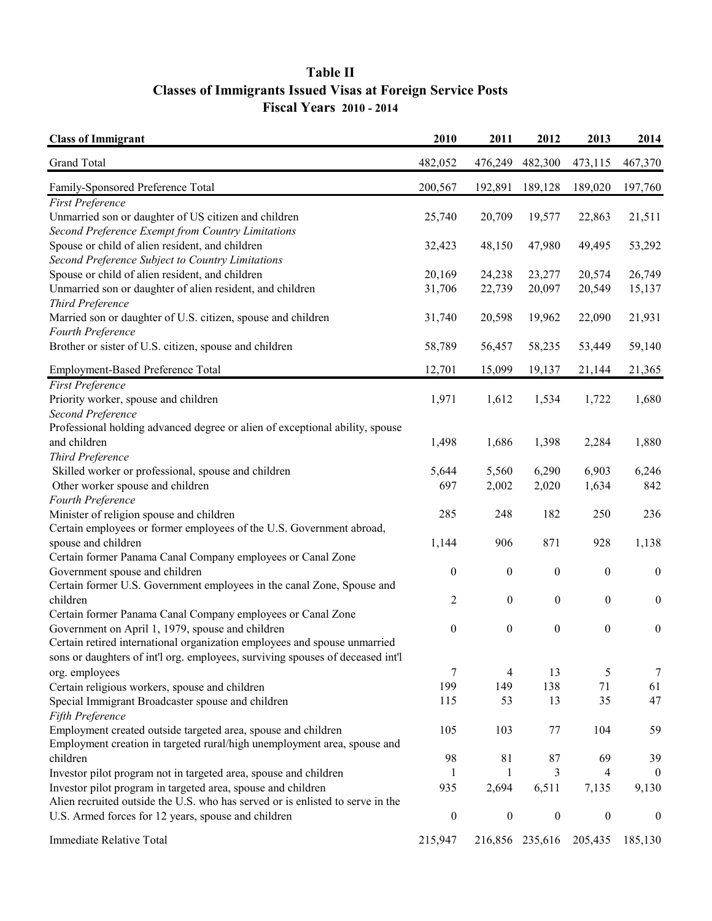## **Table II Fiscal Years 2010 - 2014 Classes of Immigrants Issued Visas at Foreign Service Posts**

| <b>Class of Immigrant</b>                                                          | 2010             | 2011             | 2012             | 2013             | 2014             |
|------------------------------------------------------------------------------------|------------------|------------------|------------------|------------------|------------------|
| Grand Total                                                                        | 482,052          | 476,249          | 482,300          | 473,115          | 467,370          |
| Family-Sponsored Preference Total                                                  | 200,567          | 192,891          | 189,128          | 189,020          | 197,760          |
| <b>First Preference</b>                                                            |                  |                  |                  |                  |                  |
| Unmarried son or daughter of US citizen and children                               | 25,740           | 20,709           | 19,577           | 22,863           | 21,511           |
| Second Preference Exempt from Country Limitations                                  |                  |                  |                  |                  |                  |
| Spouse or child of alien resident, and children                                    | 32,423           | 48,150           | 47,980           | 49,495           | 53,292           |
| Second Preference Subject to Country Limitations                                   |                  |                  |                  |                  |                  |
| Spouse or child of alien resident, and children                                    | 20,169           | 24,238           | 23,277           | 20,574           | 26,749           |
| Unmarried son or daughter of alien resident, and children                          | 31,706           | 22,739           | 20,097           | 20,549           | 15,137           |
| Third Preference                                                                   |                  |                  |                  |                  |                  |
| Married son or daughter of U.S. citizen, spouse and children                       | 31,740           | 20,598           | 19,962           | 22,090           | 21,931           |
| Fourth Preference                                                                  |                  |                  |                  |                  |                  |
| Brother or sister of U.S. citizen, spouse and children                             | 58,789           | 56,457           | 58,235           | 53,449           | 59,140           |
| Employment-Based Preference Total                                                  | 12,701           | 15,099           | 19,137           | 21,144           | 21,365           |
| <b>First Preference</b>                                                            |                  |                  |                  |                  |                  |
| Priority worker, spouse and children                                               | 1,971            | 1,612            | 1,534            | 1,722            | 1,680            |
| Second Preference                                                                  |                  |                  |                  |                  |                  |
| Professional holding advanced degree or alien of exceptional ability, spouse       |                  |                  |                  |                  |                  |
| and children                                                                       | 1,498            | 1,686            | 1,398            | 2,284            | 1,880            |
| Third Preference                                                                   |                  |                  |                  |                  |                  |
| Skilled worker or professional, spouse and children                                | 5,644            | 5,560            | 6,290            | 6,903            | 6,246            |
| Other worker spouse and children                                                   | 697              | 2,002            | 2,020            | 1,634            | 842              |
| Fourth Preference                                                                  |                  |                  |                  |                  |                  |
| Minister of religion spouse and children                                           | 285              | 248              | 182              | 250              | 236              |
| Certain employees or former employees of the U.S. Government abroad,               |                  |                  |                  |                  |                  |
| spouse and children                                                                | 1,144            | 906              | 871              | 928              | 1,138            |
| Certain former Panama Canal Company employees or Canal Zone                        |                  |                  |                  |                  |                  |
| Government spouse and children                                                     | $\boldsymbol{0}$ | $\boldsymbol{0}$ | $\boldsymbol{0}$ | $\boldsymbol{0}$ | $\boldsymbol{0}$ |
|                                                                                    |                  |                  |                  |                  |                  |
| Certain former U.S. Government employees in the canal Zone, Spouse and<br>children |                  |                  |                  | $\boldsymbol{0}$ |                  |
|                                                                                    | $\overline{c}$   | $\boldsymbol{0}$ | $\boldsymbol{0}$ |                  | $\boldsymbol{0}$ |
| Certain former Panama Canal Company employees or Canal Zone                        |                  |                  |                  |                  |                  |
| Government on April 1, 1979, spouse and children                                   | $\boldsymbol{0}$ | $\boldsymbol{0}$ | $\boldsymbol{0}$ | $\boldsymbol{0}$ | $\boldsymbol{0}$ |
| Certain retired international organization employees and spouse unmarried          |                  |                  |                  |                  |                  |
| sons or daughters of int'l org. employees, surviving spouses of deceased int'l     |                  |                  |                  |                  |                  |
| org. employees                                                                     | 7                | 4                | 13               | 5                | $\overline{7}$   |
| Certain religious workers, spouse and children                                     | 199              | 149              | 138              | 71               | 61               |
| Special Immigrant Broadcaster spouse and children                                  | 115              | 53               | 13               | 35               | 47               |
| Fifth Preference                                                                   |                  |                  |                  |                  |                  |
| Employment created outside targeted area, spouse and children                      | 105              | 103              | 77               | 104              | 59               |
| Employment creation in targeted rural/high unemployment area, spouse and           |                  |                  |                  |                  |                  |
| children                                                                           | 98               | 81               | 87               | 69               | 39               |
| Investor pilot program not in targeted area, spouse and children                   | 1                | 1                | 3                | 4                | $\theta$         |
| Investor pilot program in targeted area, spouse and children                       | 935              | 2,694            | 6,511            | 7,135            | 9,130            |
| Alien recruited outside the U.S. who has served or is enlisted to serve in the     |                  |                  |                  |                  |                  |
| U.S. Armed forces for 12 years, spouse and children                                | $\boldsymbol{0}$ | $\boldsymbol{0}$ | $\boldsymbol{0}$ | $\boldsymbol{0}$ | $\boldsymbol{0}$ |
| <b>Immediate Relative Total</b>                                                    | 215,947          |                  | 216,856 235,616  | 205,435          | 185,130          |